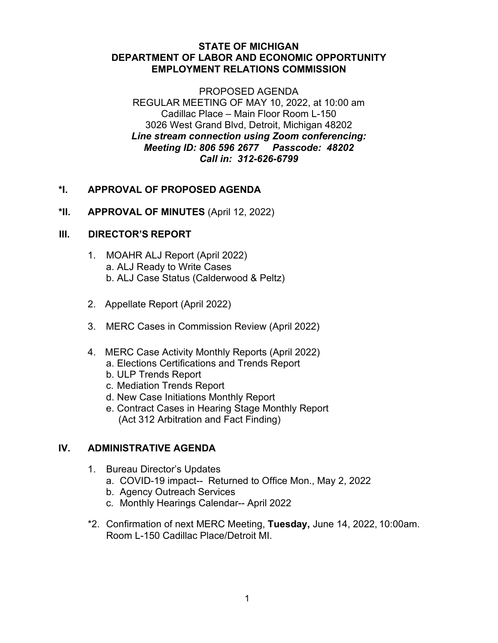#### **STATE OF MICHIGAN DEPARTMENT OF LABOR AND ECONOMIC OPPORTUNITY EMPLOYMENT RELATIONS COMMISSION**

PROPOSED AGENDA REGULAR MEETING OF MAY 10, 2022, at 10:00 am Cadillac Place – Main Floor Room L-150 3026 West Grand Blvd, Detroit, Michigan 48202 *Line stream connection using Zoom conferencing: Meeting ID: 806 596 2677 Passcode: 48202 Call in: 312-626-6799*

# **\*I. APPROVAL OF PROPOSED AGENDA**

**\*II. APPROVAL OF MINUTES** (April 12, 2022)

# **III. DIRECTOR'S REPORT**

- 1. MOAHR ALJ Report (April 2022) a. ALJ Ready to Write Cases b. ALJ Case Status (Calderwood & Peltz)
- 2. Appellate Report (April 2022)
- 3. MERC Cases in Commission Review (April 2022)
- 4. MERC Case Activity Monthly Reports (April 2022) a. Elections Certifications and Trends Report
	- b. ULP Trends Report
	- c. Mediation Trends Report
	- d. New Case Initiations Monthly Report
	- e. Contract Cases in Hearing Stage Monthly Report (Act 312 Arbitration and Fact Finding)

# **IV. ADMINISTRATIVE AGENDA**

- 1. Bureau Director's Updates
	- a. COVID-19 impact-- Returned to Office Mon., May 2, 2022
	- b. Agency Outreach Services
	- c. Monthly Hearings Calendar-- April 2022
- \*2. Confirmation of next MERC Meeting, **Tuesday,** June 14, 2022, 10:00am. Room L-150 Cadillac Place/Detroit MI.